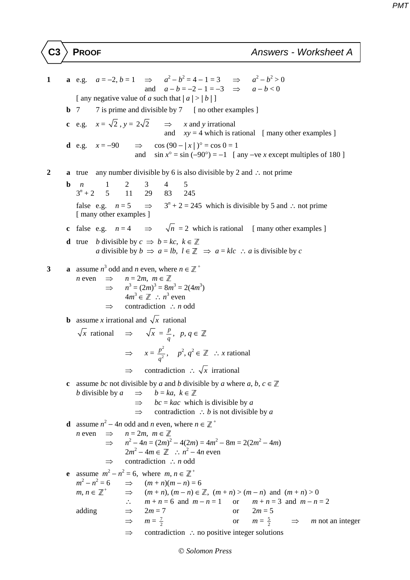## **C3 PROOF** *Answers - Worksheet A*

**1 a** e.g.  $a = -2, b = 1 \implies a^2 - b^2 = 4 - 1 = 3 \implies a^2 - b^2 > 0$ and  $a - b = -2 - 1 = -3 \implies a - b < 0$ [ any negative value of *a* such that  $|a| > |b|$ ] **b** 7 7 is prime and divisible by 7 [ no other examples ] **c** e.g.  $x = \sqrt{2}$ ,  $y = 2\sqrt{2}$   $\Rightarrow$  *x* and *y* irrational and  $xy = 4$  which is rational [ many other examples ] **d** e.g.  $x = -90$  ⇒ cos  $(90 - |x|)^{\circ} = \cos 0 = 1$ and  $\sin x^\circ = \sin (-90^\circ) = -1$  [ any –ve *x* except multiples of 180 ] **2 a** true any number divisible by 6 is also divisible by 2 and ∴ not prime **b** *n* 1 2 3 4 5  $3^n + 2$  + 2 5 11 29 83 245 false e.g.  $n = 5$   $\Rightarrow$  $3<sup>n</sup> + 2 = 245$  which is divisible by 5 and ∴ not prime [ many other examples ] **c** false e.g.  $n = 4$   $\Rightarrow \sqrt{n} = 2$  which is rational [many other examples ] **d** true *b* divisible by  $c \implies b = kc, k \in \mathbb{Z}$ *a* divisible by *b*  $\Rightarrow$  *a* = *lb*, *l* ∈  $\mathbb{Z}$   $\Rightarrow$  *a* = *klc* ∴ *a* is divisible by *c* **3 a** assume  $n^3$  odd and *n* even, where  $n \in \mathbb{Z}^+$  $n \text{ even } \Rightarrow n = 2m, m \in \mathbb{Z}$  $m^3 = (2m)^3 = 8m^3 = 2(4m^3)$  $4m^3 \in \mathbb{Z}$  :  $n^3$  even ⇒ contradiction ∴ *n* odd **b** assume *x* irrational and  $\sqrt{x}$  rational *x* rational ⇒  $\sqrt{x} = \frac{p}{q}$ , *p*, *q* ∈  $\Rightarrow x = \frac{p^2}{a^2}$  $\frac{p^2}{q^2}$ , *p*<sup>2</sup>, *q*<sup>2</sup> ∈ ℤ ∴ *x* rational ⇒ contradiction ∴ *x* irrational **c** assume *bc* not divisible by *a* and *b* divisible by *a* where *a*, *b*, *c*  $\in \mathbb{Z}$ *b* divisible by  $a \implies b = ka, k \in \mathbb{Z}$  $\Rightarrow$  *bc* = *kac* which is divisible by *a*  ⇒ contradiction ∴ *b* is not divisible by *a* **d** assume  $n^2 - 4n$  odd and *n* even, where  $n \in \mathbb{Z}^+$  $n \text{ even } \Rightarrow n = 2m, m \in \mathbb{Z}$  ⇒ *n*  $2^2 - 4n = (2m)^2 - 4(2m) = 4m^2 - 8m = 2(2m^2 - 4m)$  $2m^2 - 4m \in \mathbb{Z}$  :  $n^2 - 4n$  even ⇒ contradiction ∴ *n* odd **e** assume  $m^2 - n^2 = 6$ , where  $m, n \in \mathbb{Z}^+$  $m^2 - n^2$  $\implies$   $(m+n)(m-n) = 6$  $m, n \in \mathbb{Z}^+$  $\Rightarrow$   $(m+n), (m-n) \in \mathbb{Z}, (m+n) > (m-n)$  and  $(m+n) > 0$ ∴  $m + n = 6$  and  $m - n = 1$  or  $m + n = 3$  and  $m - n = 2$ adding  $\implies 2m = 7$  or  $2m = 5$  $\Rightarrow$  *m* =  $\frac{7}{2}$ or  $m = \frac{5}{3}$  $\implies$  *m* not an integer ⇒ contradiction ∴ no positive integer solutions